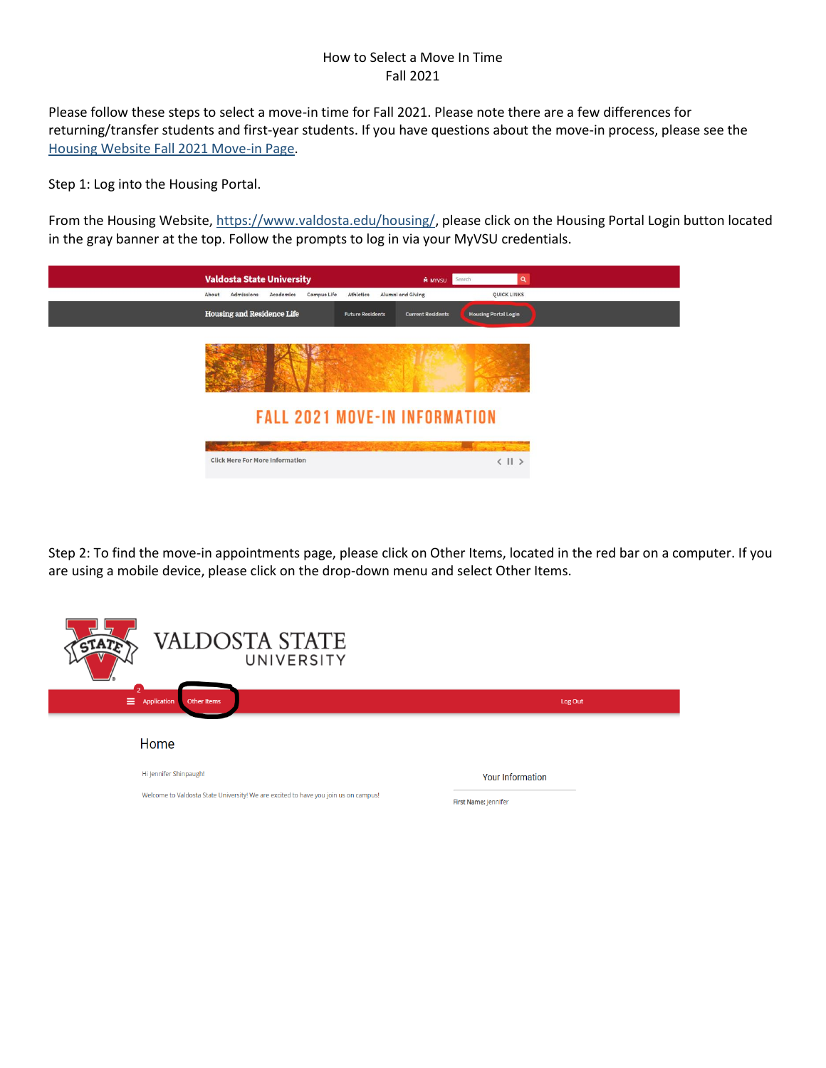#### How to Select a Move In Time Fall 2021

Please follow these steps to select a move-in time for Fall 2021. Please note there are a few differences for returning/transfer students and first-year students. If you have questions about the move-in process, please see the [Housing Website Fall 2021 Move-in Page.](https://www.valdosta.edu/housing/fall-2021-move-in-info.php)

Step 1: Log into the Housing Portal.

From the Housing Website, [https://www.valdosta.edu/housing/,](https://www.valdosta.edu/housing/) please click on the Housing Portal Login button located in the gray banner at the top. Follow the prompts to log in via your MyVSU credentials.

| <b>Valdosta State University</b>                             | Search<br>Q<br><b>M</b> MYVSU                           |  |  |  |
|--------------------------------------------------------------|---------------------------------------------------------|--|--|--|
| Athletics<br>About<br>Admissions<br>Campus Life<br>Academics | Alumni and Giving<br>QUICK LINKS                        |  |  |  |
| <b>Housing and Residence Life</b><br><b>Future Residents</b> | <b>Housing Portal Login</b><br><b>Current Residents</b> |  |  |  |
|                                                              |                                                         |  |  |  |
| <b>FALL 2021 MOVE-IN INFORMATION</b>                         |                                                         |  |  |  |
|                                                              |                                                         |  |  |  |
| <b>Click Here For More Information</b>                       | $\langle$ 11 >                                          |  |  |  |
|                                                              |                                                         |  |  |  |

Step 2: To find the move-in appointments page, please click on Other Items, located in the red bar on a computer. If you are using a mobile device, please click on the drop-down menu and select Other Items.

| <b>VALDOSTA STATE</b><br>UNIVERSITY                                                 |                         |
|-------------------------------------------------------------------------------------|-------------------------|
| Ξ.<br>Application<br>Other Items                                                    | Log Out                 |
| Home                                                                                |                         |
| Hi Jennifer Shinpaugh!                                                              | <b>Your Information</b> |
| Welcome to Valdosta State University! We are excited to have you join us on campus! | First Name: Jennifer    |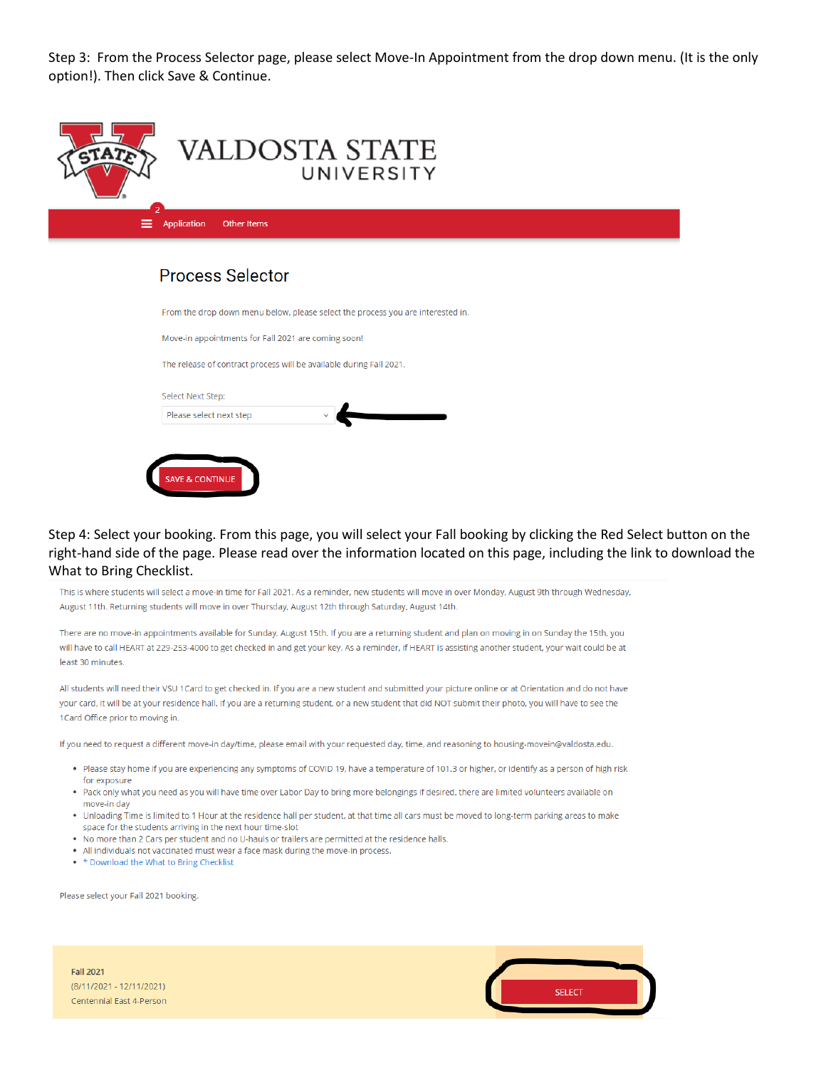Step 3: From the Process Selector page, please select Move-In Appointment from the drop down menu. (It is the only option!). Then click Save & Continue.

| <b>VALDOSTA STATE</b><br>UNIVERSITY     |  |
|-----------------------------------------|--|
| ≡.<br>Application<br><b>Other Items</b> |  |
| Drogogo Cologtor                        |  |

# Process Selector

| From the drop down menu below, please select the process you are interested in |
|--------------------------------------------------------------------------------|
|                                                                                |
|                                                                                |
|                                                                                |
|                                                                                |
|                                                                                |
|                                                                                |
|                                                                                |
|                                                                                |

#### Step 4: Select your booking. From this page, you will select your Fall booking by clicking the Red Select button on the right-hand side of the page. Please read over the information located on this page, including the link to download the What to Bring Checklist.

This is where students will select a move-in time for Fall 2021. As a reminder, new students will move in over Monday, August 9th through Wednesday, August 11th. Returning students will move in over Thursday, August 12th through Saturday, August 14th.

There are no move-in appointments available for Sunday, August 15th. If you are a returning student and plan on moving in on Sunday the 15th, you will have to call HEART at 229-253-4000 to get checked in and get your key. As a reminder, if HEART is assisting another student, your wait could be at least 30 minutes.

All students will need their VSU 1Card to get checked in. If you are a new student and submitted your picture online or at Orientation and do not have your card, it will be at your residence hall. If you are a returning student, or a new student that did NOT submit their photo, you will have to see the 1 Card Office prior to moving in.

If you need to request a different move-in day/time, please email with your requested day, time, and reasoning to housing-movein@valdosta.edu.

- . Please stay home if you are experiencing any symptoms of COVID 19, have a temperature of 101.3 or higher, or identify as a person of high risk for exposure
- . Pack only what you need as you will have time over Labor Day to bring more belongings if desired, there are limited volunteers available on move-in day
- . Unloading Time is limited to 1 Hour at the residence hall per student, at that time all cars must be moved to long-term parking areas to make space for the students arriving in the next hour time-slot
- . No more than 2 Cars per student and no U-hauls or trailers are permitted at the residence halls.
- All individuals not vaccinated must wear a face mask during the move-in process.
- \* Download the What to Bring Checklist

Please select your Fall 2021 booking.



**Fall 2021** (8/11/2021 - 12/11/2021) Centennial East 4-Person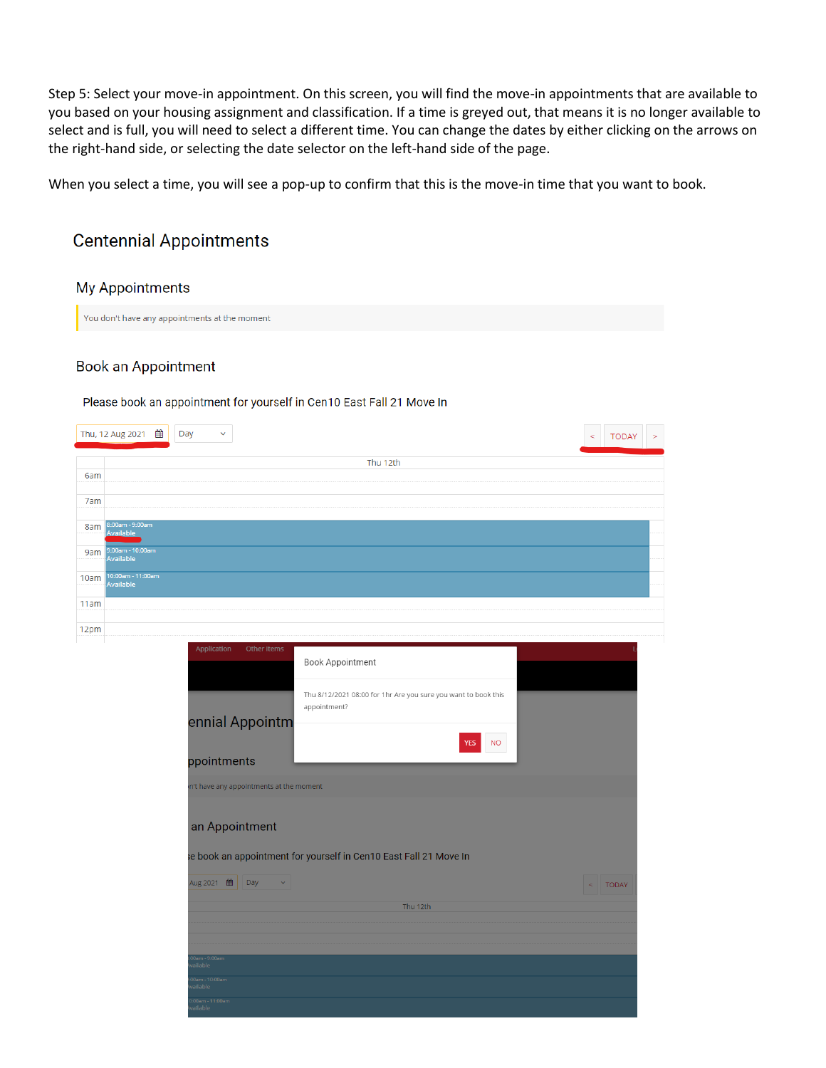Step 5: Select your move-in appointment. On this screen, you will find the move-in appointments that are available to you based on your housing assignment and classification. If a time is greyed out, that means it is no longer available to select and is full, you will need to select a different time. You can change the dates by either clicking on the arrows on the right-hand side, or selecting the date selector on the left-hand side of the page.

When you select a time, you will see a pop-up to confirm that this is the move-in time that you want to book.

## **Centennial Appointments**

## My Appointments

You don't have any appointments at the moment

### Book an Appointment

#### Please book an appointment for yourself in Cen10 East Fall 21 Move In

|     |                                | Day<br>$\checkmark$                     |                                                                                | <b>TODAY</b><br>$\geq$<br>ζ |  |
|-----|--------------------------------|-----------------------------------------|--------------------------------------------------------------------------------|-----------------------------|--|
|     |                                |                                         | Thu 12th                                                                       |                             |  |
| 6am |                                |                                         |                                                                                |                             |  |
| 7am |                                |                                         |                                                                                |                             |  |
| 8am | 8:00am - 9:00am<br>Available   |                                         |                                                                                |                             |  |
| 9am | 9:00am - 10:00am<br>Available  |                                         |                                                                                |                             |  |
| 0am | 10:00am - 11:00am<br>Available |                                         |                                                                                |                             |  |
| 1am |                                |                                         |                                                                                |                             |  |
| 2pm |                                |                                         |                                                                                |                             |  |
|     |                                | Application<br>Other Items              | Book Appointment                                                               |                             |  |
|     |                                |                                         | Thu 8/12/2021 08:00 for 1hr Are you sure you want to book this<br>appointment? |                             |  |
|     |                                | ennial Appointm<br>ppointments          | <b>NO</b><br>YES                                                               |                             |  |
|     |                                | n't have any appointments at the moment |                                                                                |                             |  |
|     |                                |                                         |                                                                                |                             |  |
|     |                                | an Appointment                          |                                                                                |                             |  |
|     |                                |                                         | e book an appointment for yourself in Cen10 East Fall 21 Move In               |                             |  |
|     |                                | Aug 2021 ■ Day<br>$\sim$ .              |                                                                                | $\,<$<br><b>TODAY</b>       |  |
|     |                                |                                         | Thu 12th                                                                       |                             |  |
|     |                                |                                         |                                                                                |                             |  |
|     |                                | 0am - 9:00am                            |                                                                                |                             |  |
|     |                                | ailable<br>0am - 10:00am<br>ailable     |                                                                                |                             |  |
|     |                                | :00am - 11:00am<br>ailable              |                                                                                |                             |  |
|     |                                |                                         |                                                                                |                             |  |